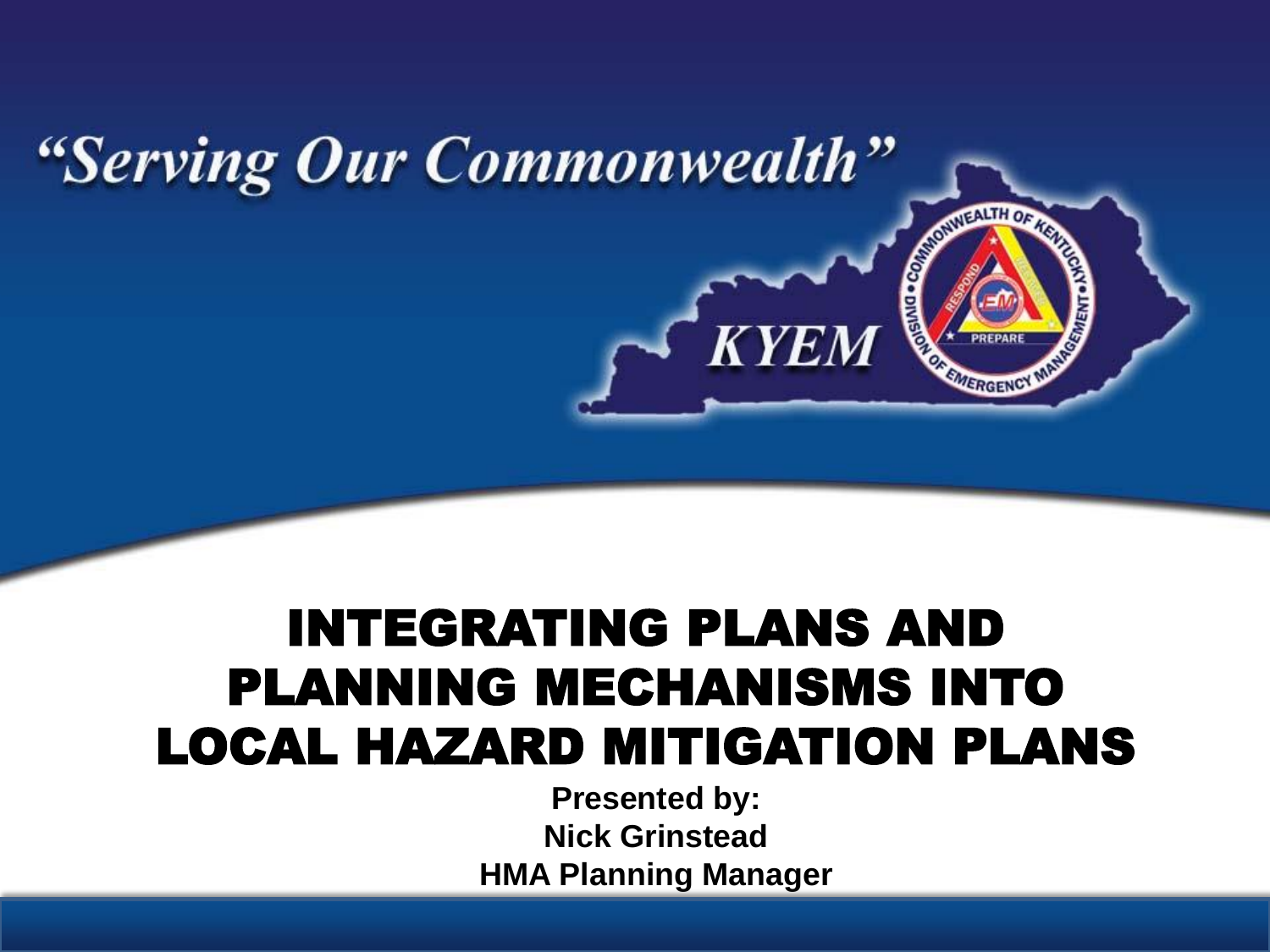

### INTEGRATING PLANS AND PLANNING MECHANISMS INTO LOCAL HAZARD MITIGATION PLANS

**Presented by: Nick Grinstead HMA Planning Manager**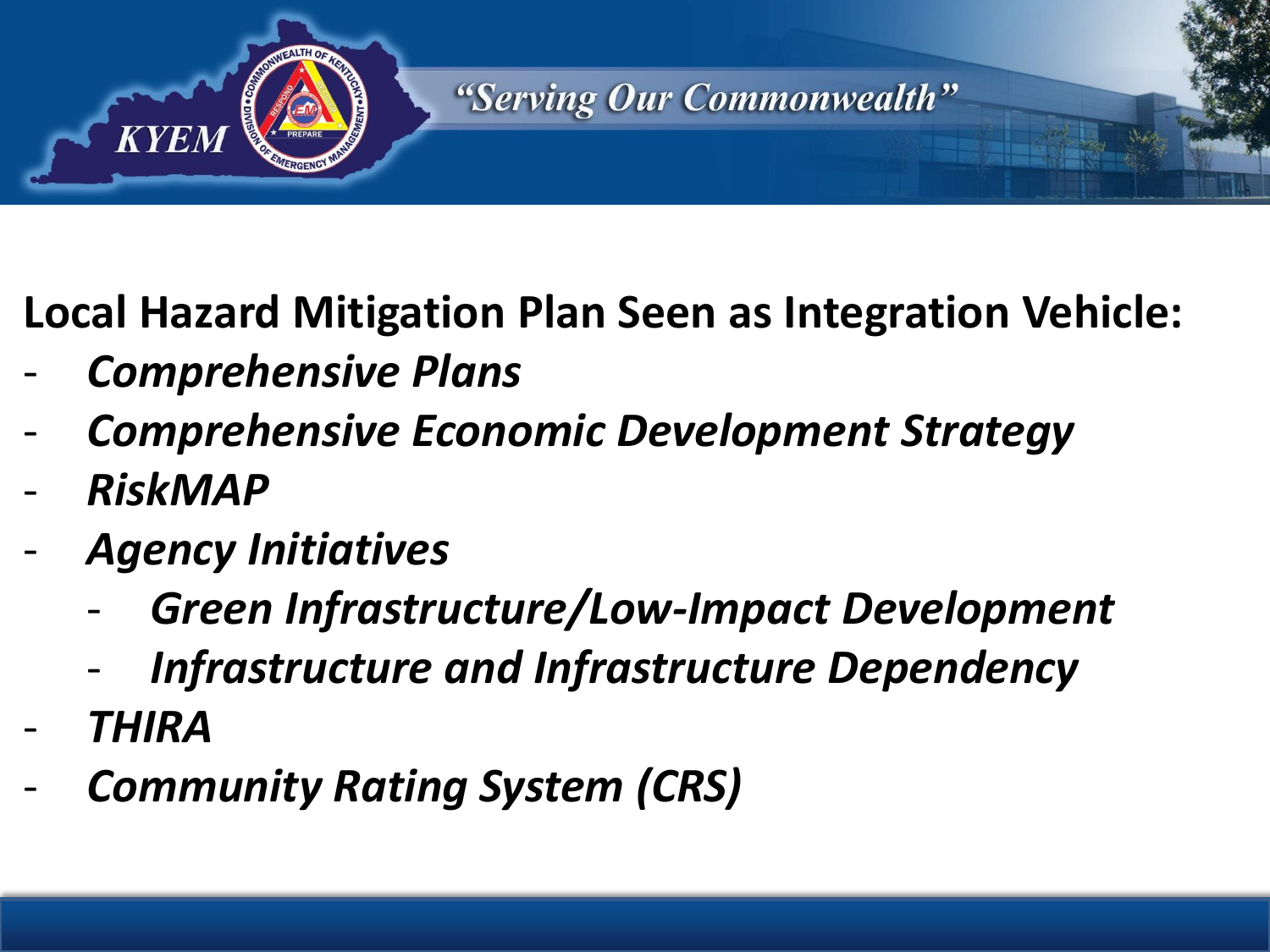

#### **Local Hazard Mitigation Plan Seen as Integration Vehicle:**

- *Comprehensive Plans*
- *Comprehensive Economic Development Strategy*
- *RiskMAP*
- *Agency Initiatives*
	- *Green Infrastructure/Low-Impact Development*
	- *Infrastructure and Infrastructure Dependency*
- *THIRA*
- *Community Rating System (CRS)*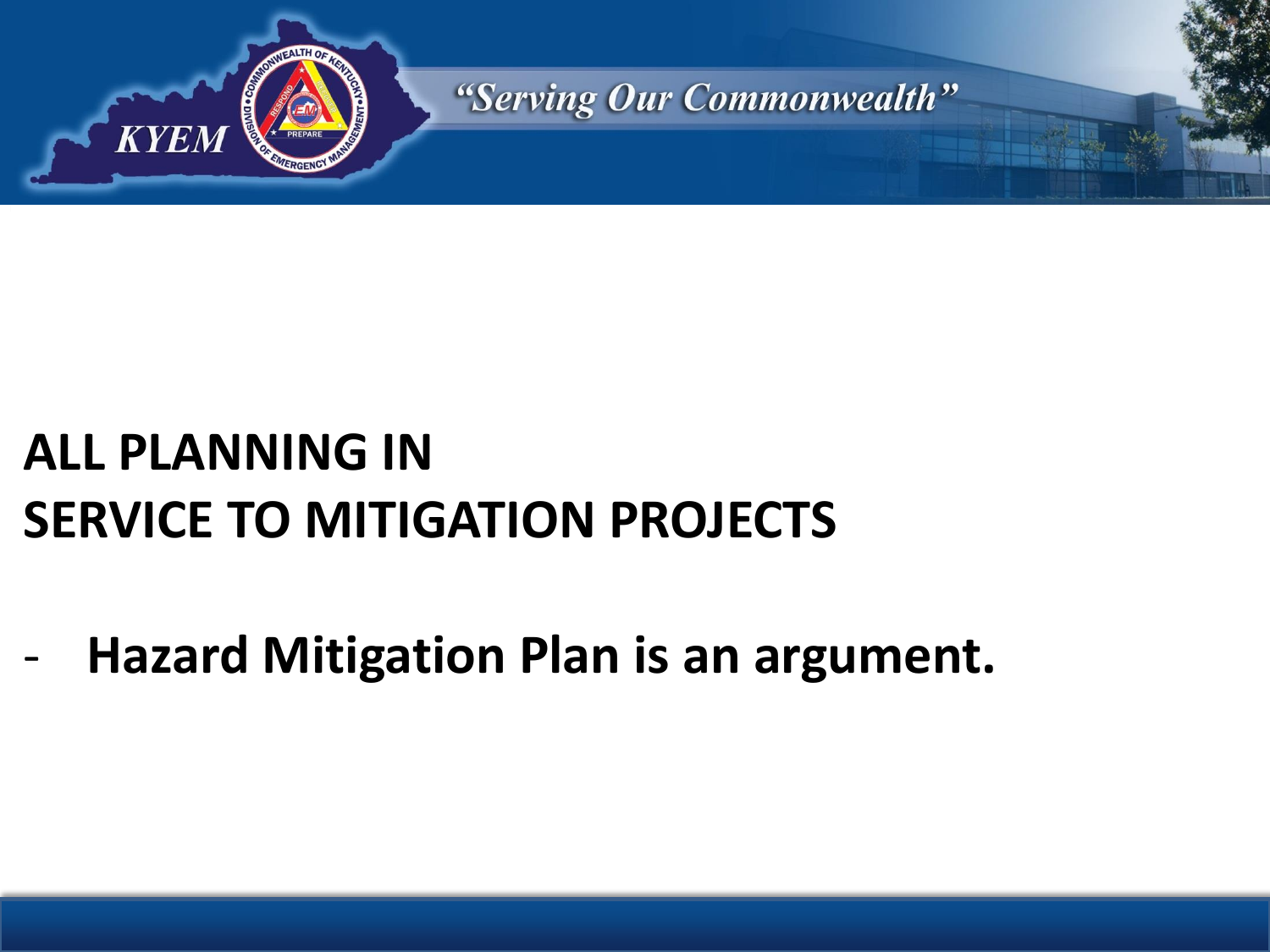

# **ALL PLANNING IN SERVICE TO MITIGATION PROJECTS**

- **Hazard Mitigation Plan is an argument.**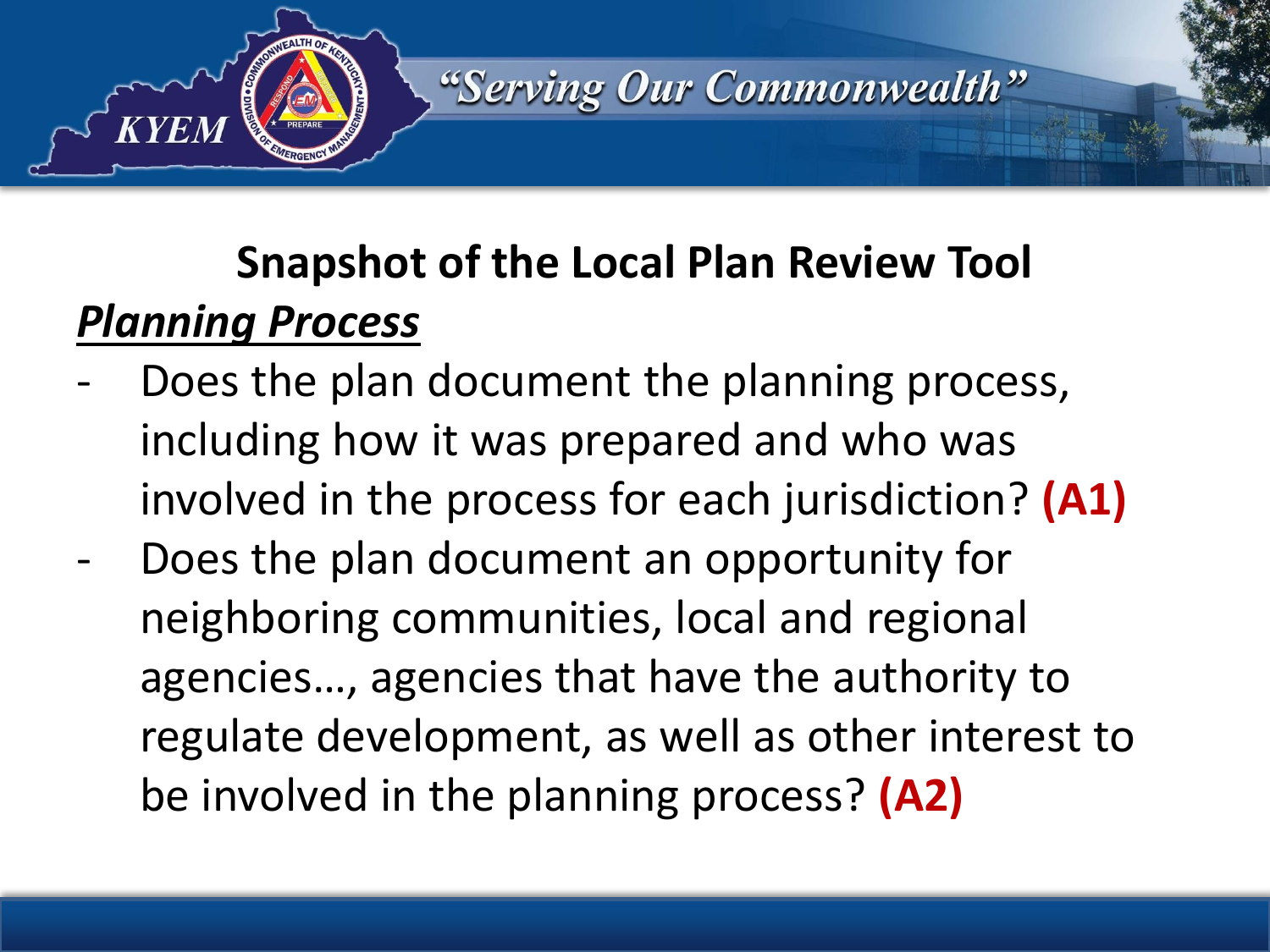

## **Snapshot of the Local Plan Review Tool** *Planning Process*

- Does the plan document the planning process, including how it was prepared and who was involved in the process for each jurisdiction? **(A1)**
- Does the plan document an opportunity for neighboring communities, local and regional agencies…, agencies that have the authority to regulate development, as well as other interest to be involved in the planning process? **(A2)**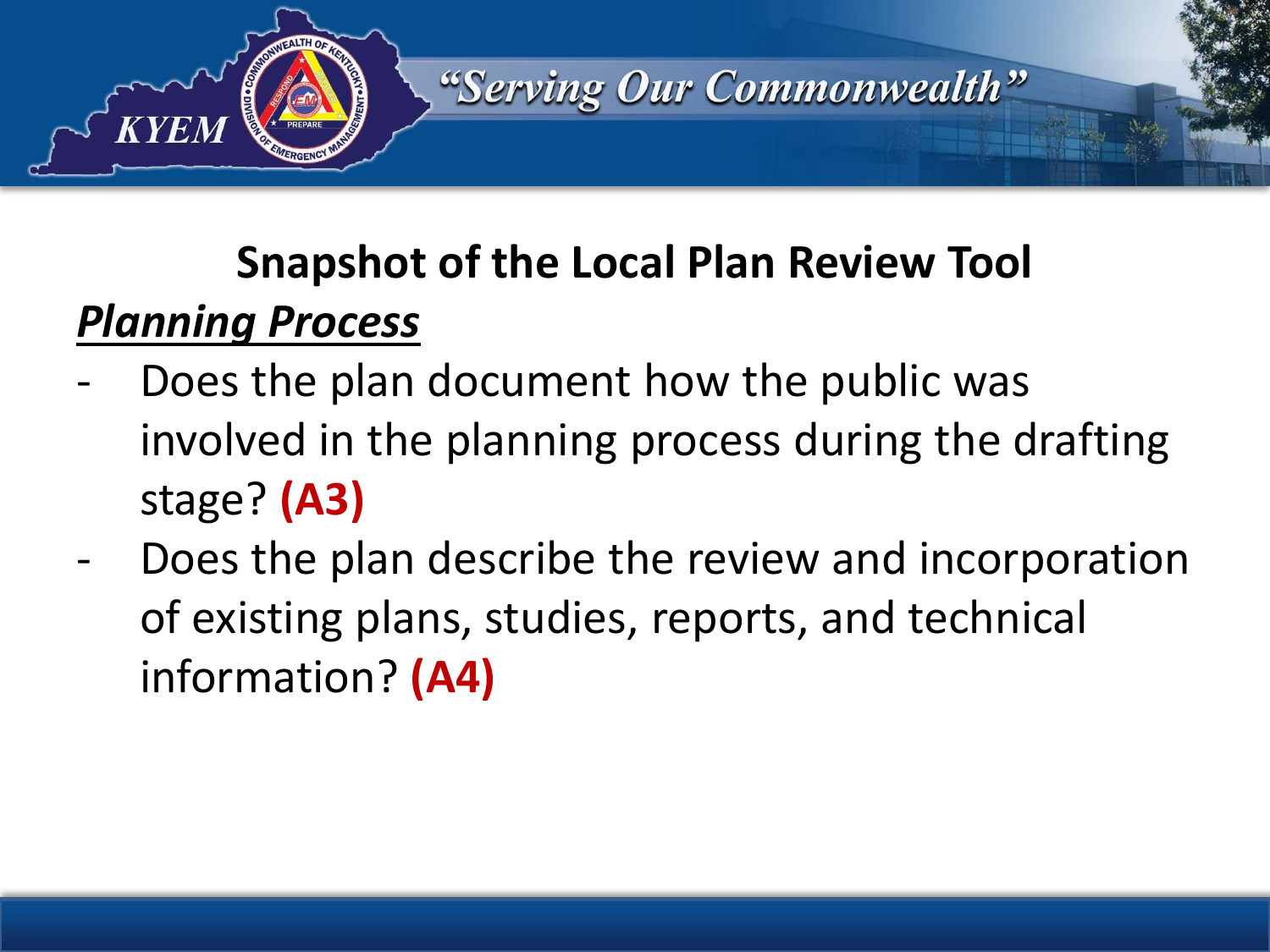

## **Snapshot of the Local Plan Review Tool** *Planning Process*

- Does the plan document how the public was involved in the planning process during the drafting stage? **(A3)**
- Does the plan describe the review and incorporation of existing plans, studies, reports, and technical information? **(A4)**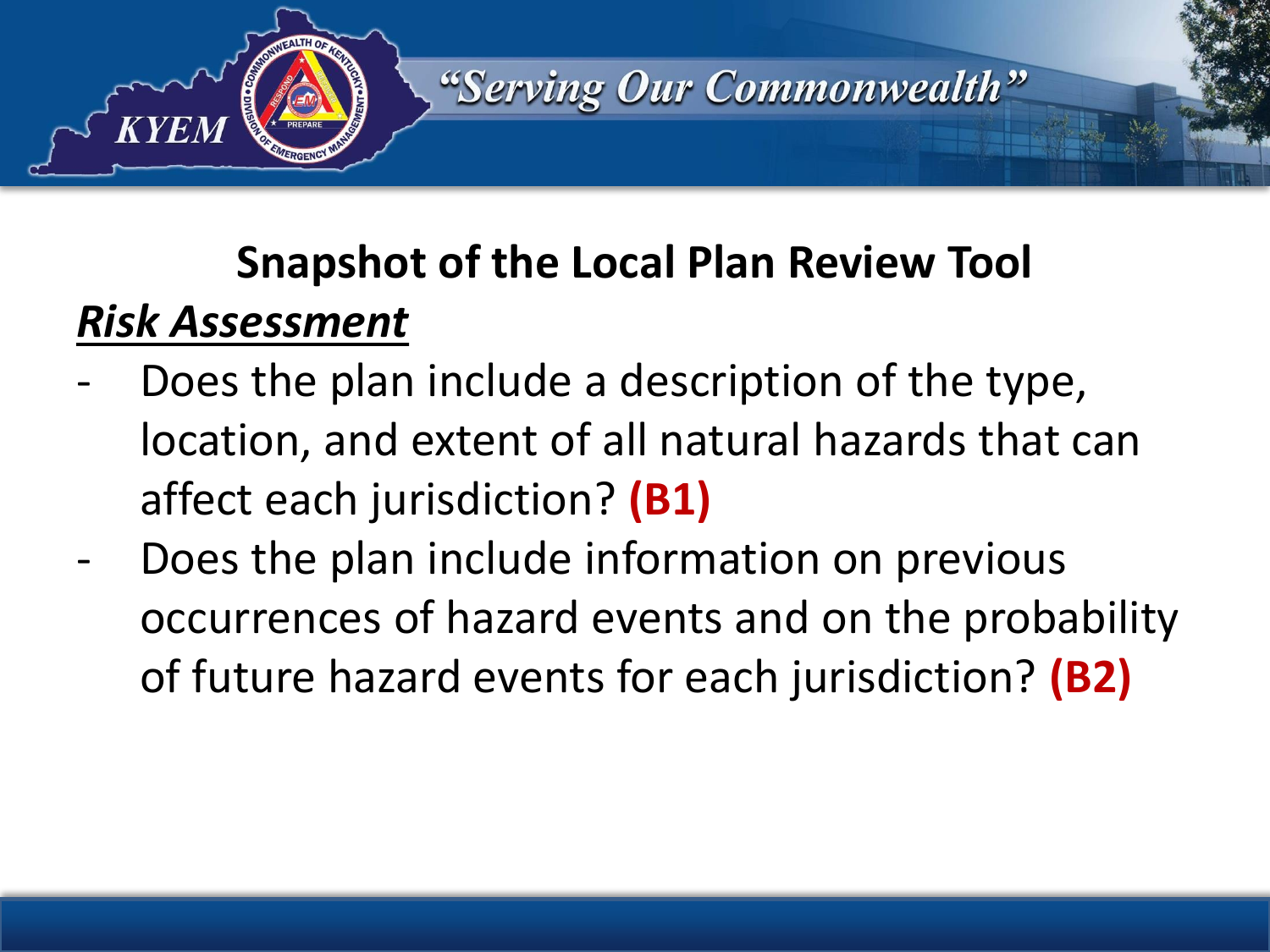

## **Snapshot of the Local Plan Review Tool** *Risk Assessment*

- Does the plan include a description of the type, location, and extent of all natural hazards that can affect each jurisdiction? **(B1)**
- Does the plan include information on previous occurrences of hazard events and on the probability of future hazard events for each jurisdiction? **(B2)**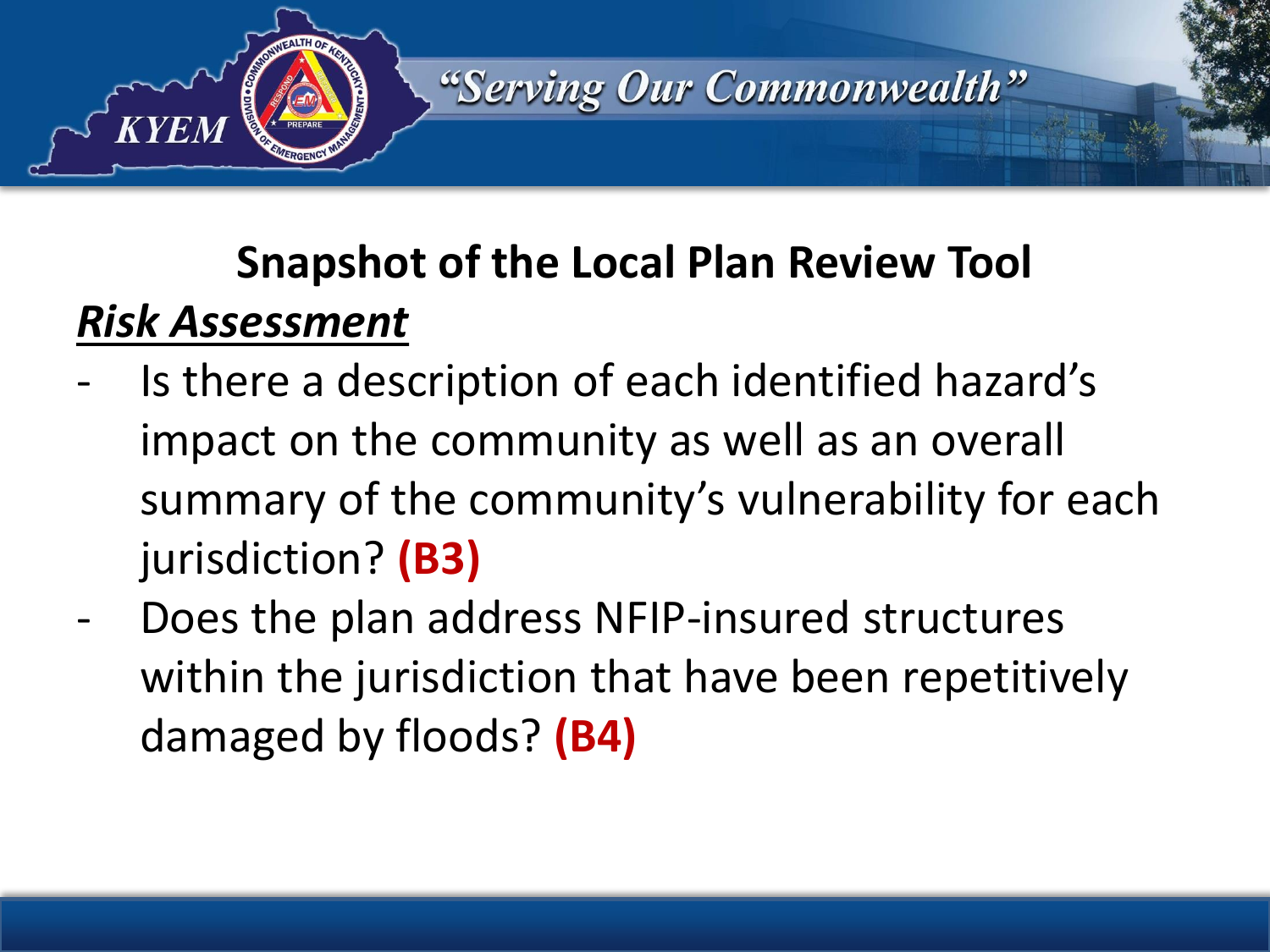

## **Snapshot of the Local Plan Review Tool** *Risk Assessment*

- Is there a description of each identified hazard's impact on the community as well as an overall summary of the community's vulnerability for each jurisdiction? **(B3)**
- Does the plan address NFIP-insured structures within the jurisdiction that have been repetitively damaged by floods? **(B4)**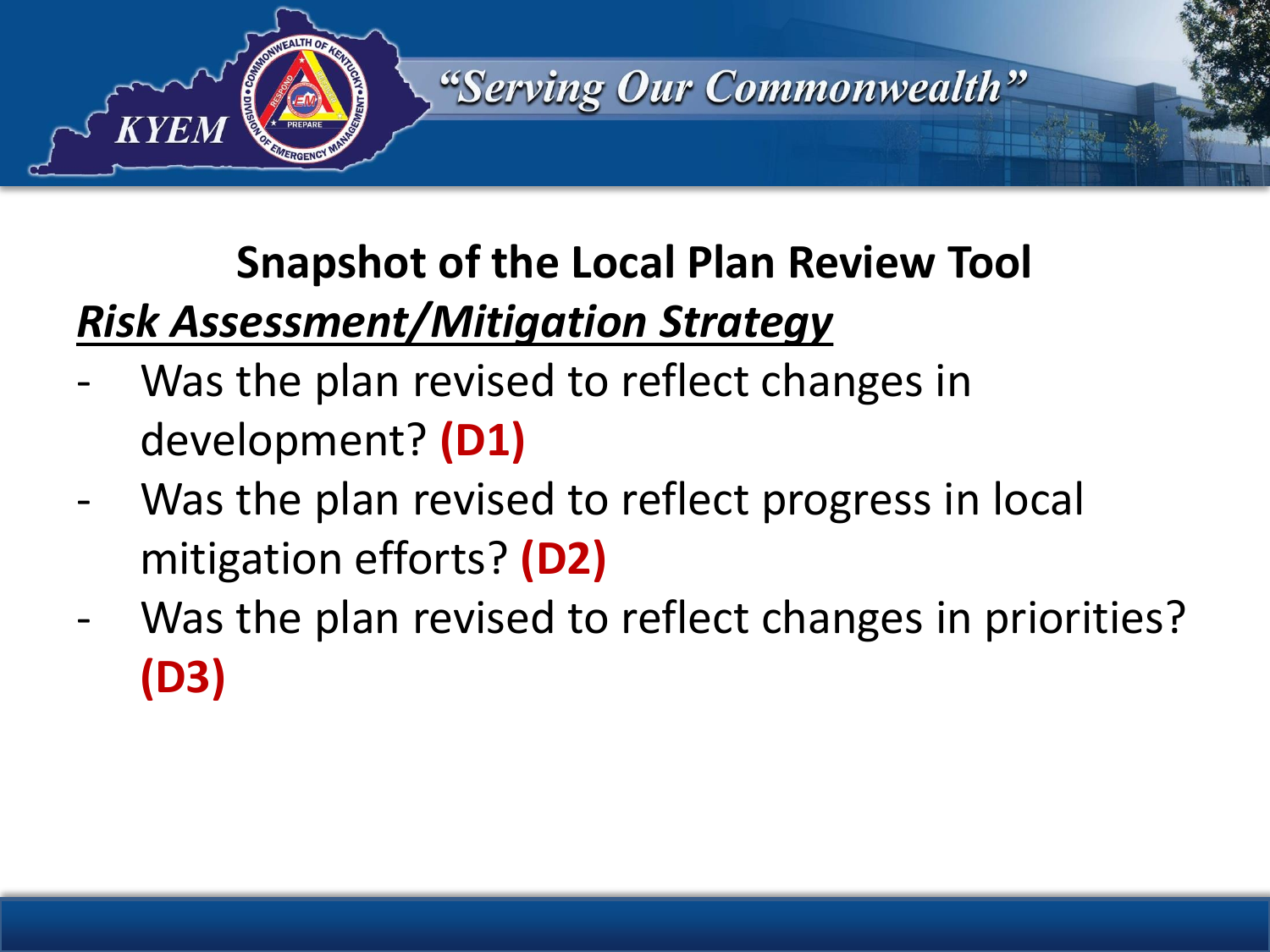

# **Snapshot of the Local Plan Review Tool**

#### *Risk Assessment/Mitigation Strategy*

- Was the plan revised to reflect changes in development? **(D1)**
- Was the plan revised to reflect progress in local mitigation efforts? **(D2)**
- Was the plan revised to reflect changes in priorities? **(D3)**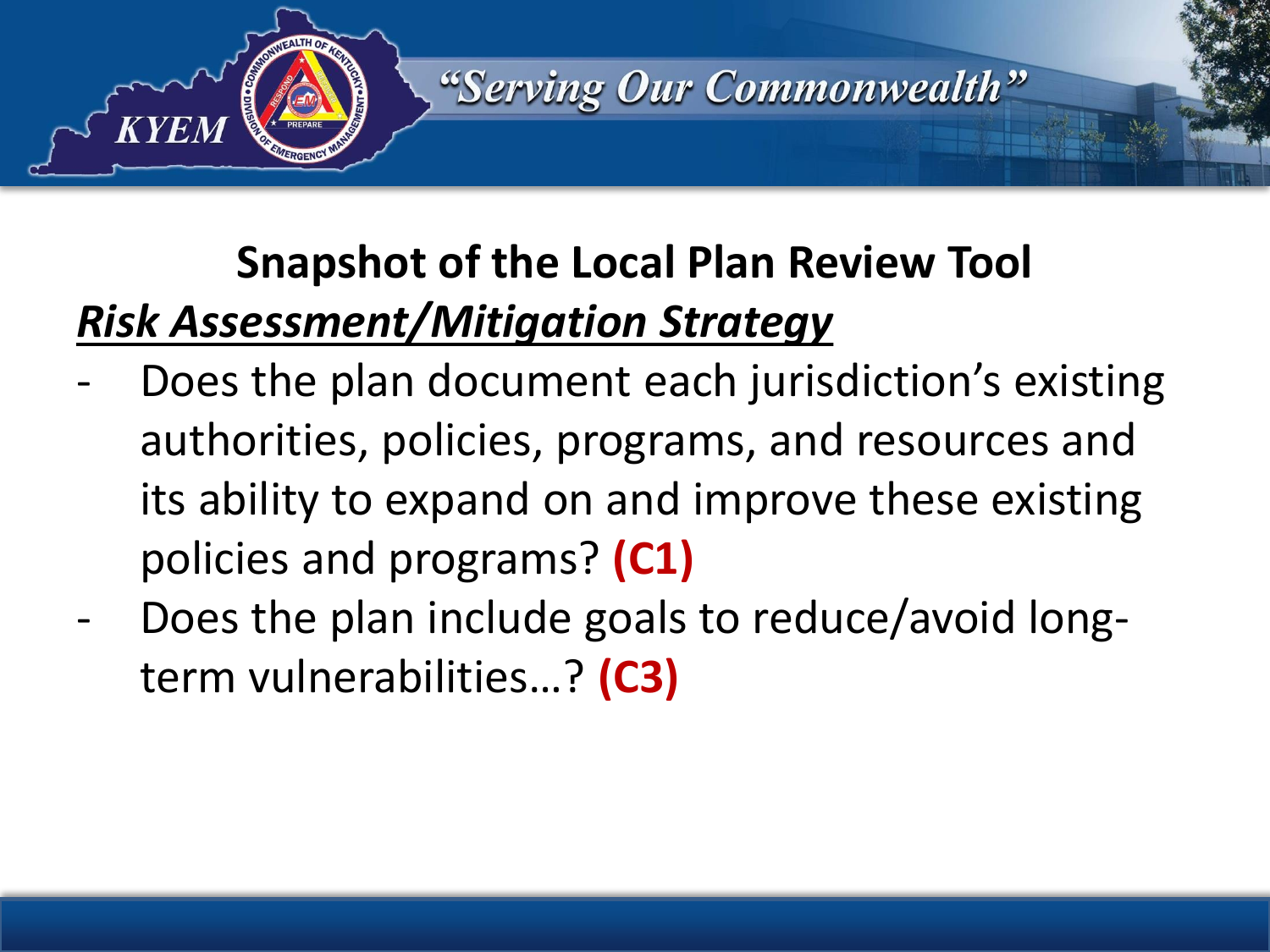

# **Snapshot of the Local Plan Review Tool** *Risk Assessment/Mitigation Strategy*

- Does the plan document each jurisdiction's existing authorities, policies, programs, and resources and its ability to expand on and improve these existing policies and programs? **(C1)**
- Does the plan include goals to reduce/avoid longterm vulnerabilities…? **(C3)**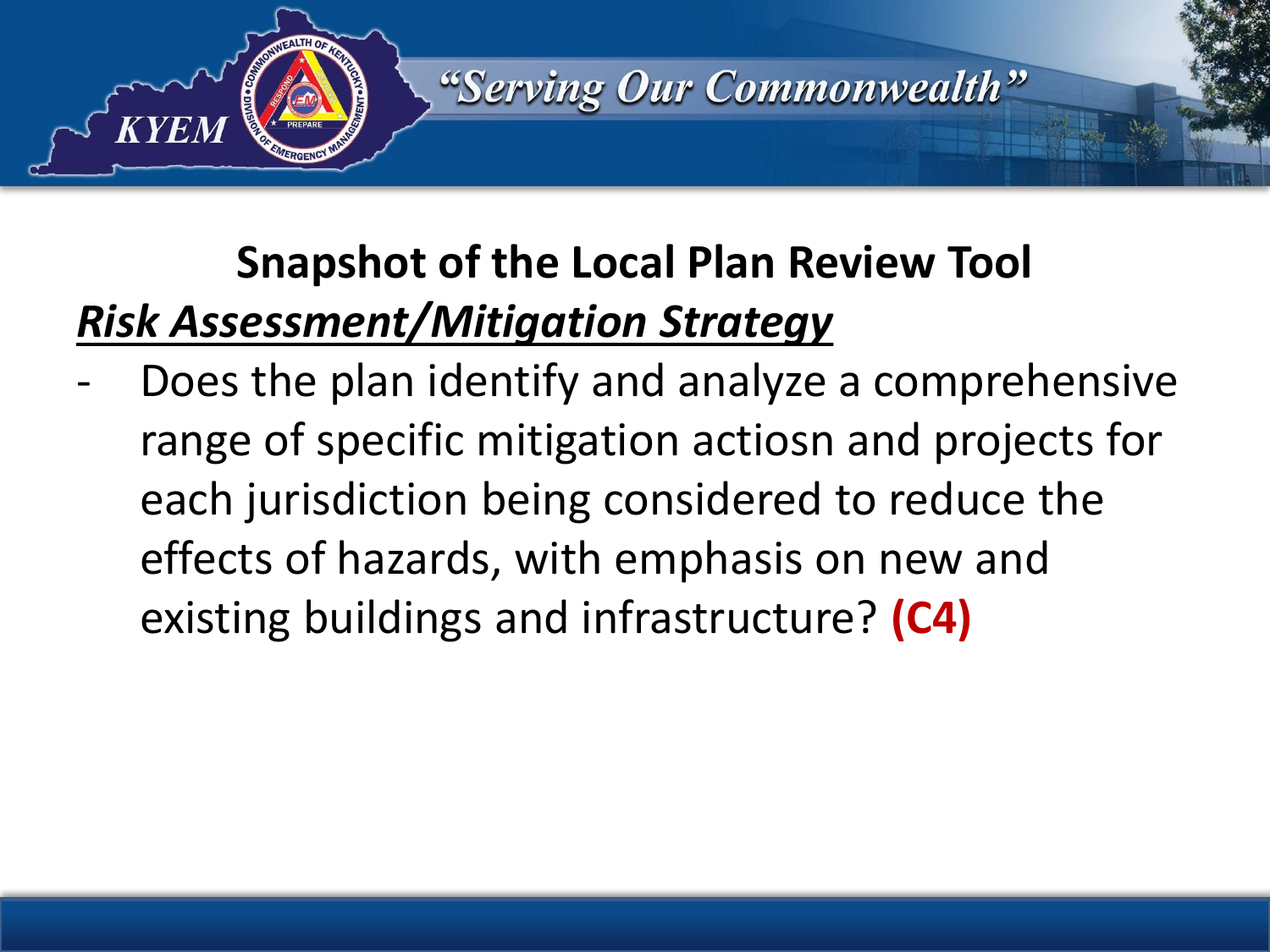

# **Snapshot of the Local Plan Review Tool** *Risk Assessment/Mitigation Strategy*

Does the plan identify and analyze a comprehensive range of specific mitigation actiosn and projects for each jurisdiction being considered to reduce the effects of hazards, with emphasis on new and existing buildings and infrastructure? **(C4)**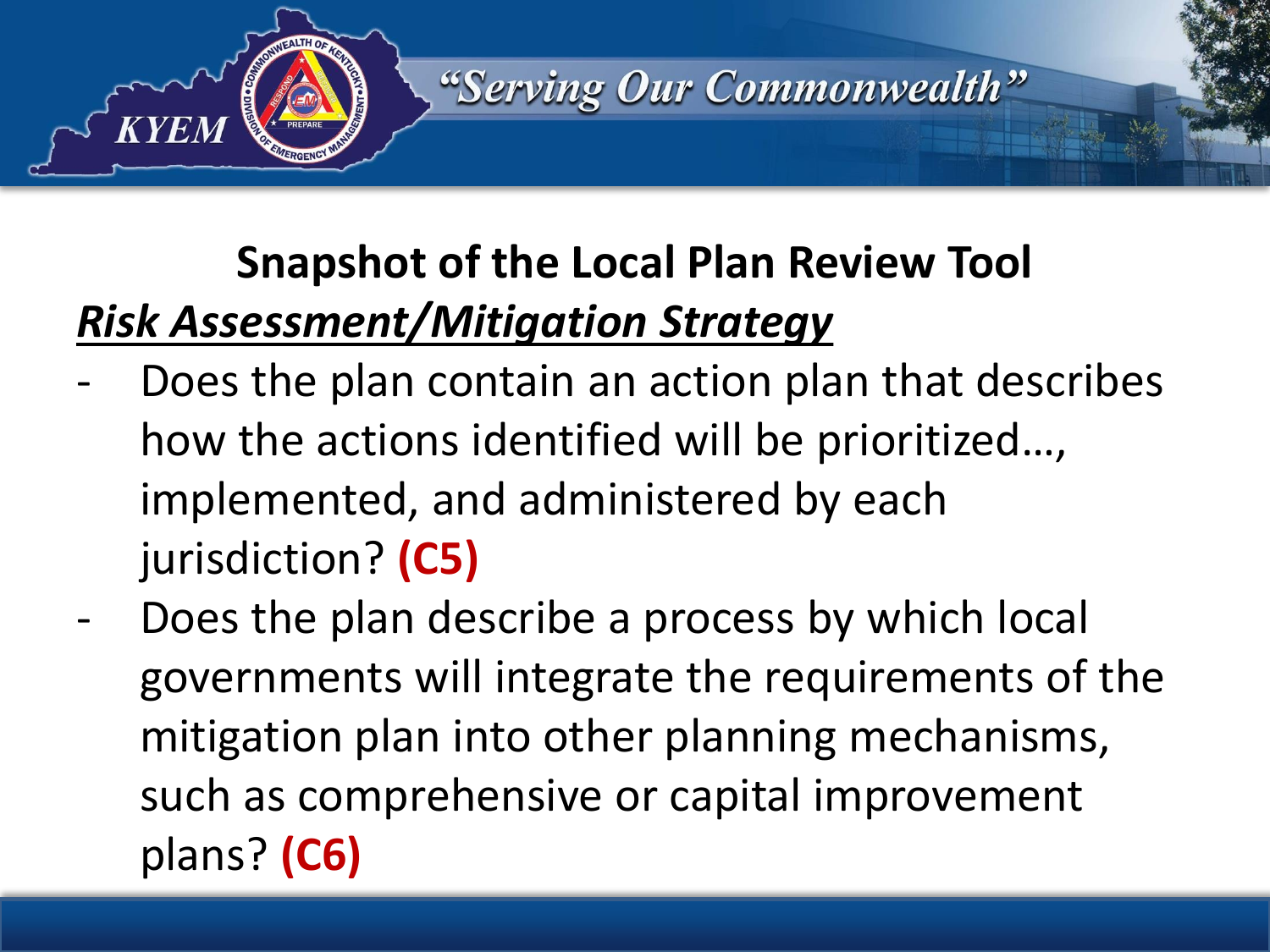

# **Snapshot of the Local Plan Review Tool** *Risk Assessment/Mitigation Strategy*

- Does the plan contain an action plan that describes how the actions identified will be prioritized…, implemented, and administered by each jurisdiction? **(C5)**
- Does the plan describe a process by which local governments will integrate the requirements of the mitigation plan into other planning mechanisms, such as comprehensive or capital improvement plans? **(C6)**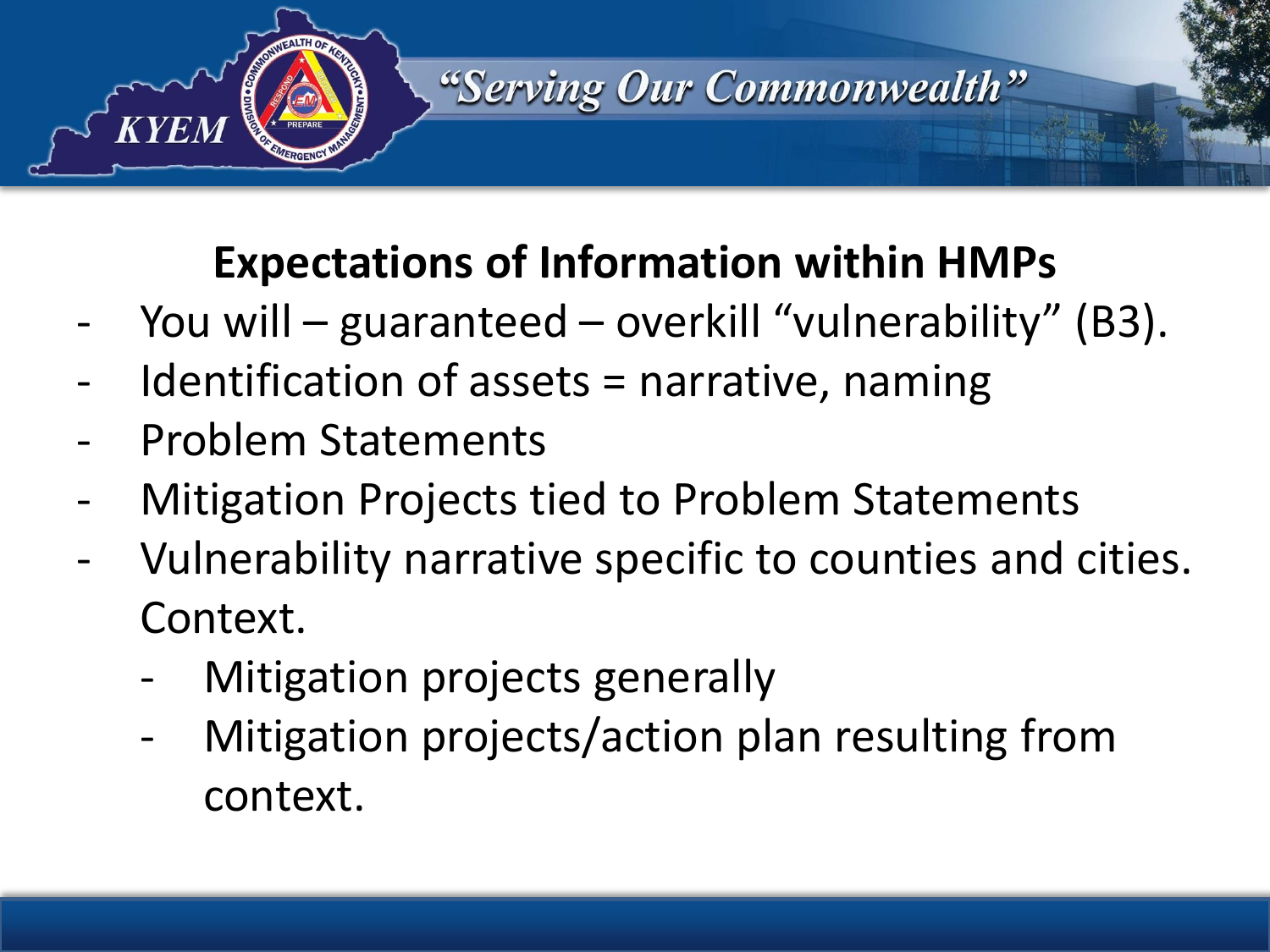

#### **Expectations of Information within HMPs**

- You will guaranteed overkill "vulnerability" (B3).
- Identification of assets  $=$  narrative, naming
- Problem Statements
- Mitigation Projects tied to Problem Statements
- Vulnerability narrative specific to counties and cities. Context.
	- Mitigation projects generally
	- Mitigation projects/action plan resulting from context.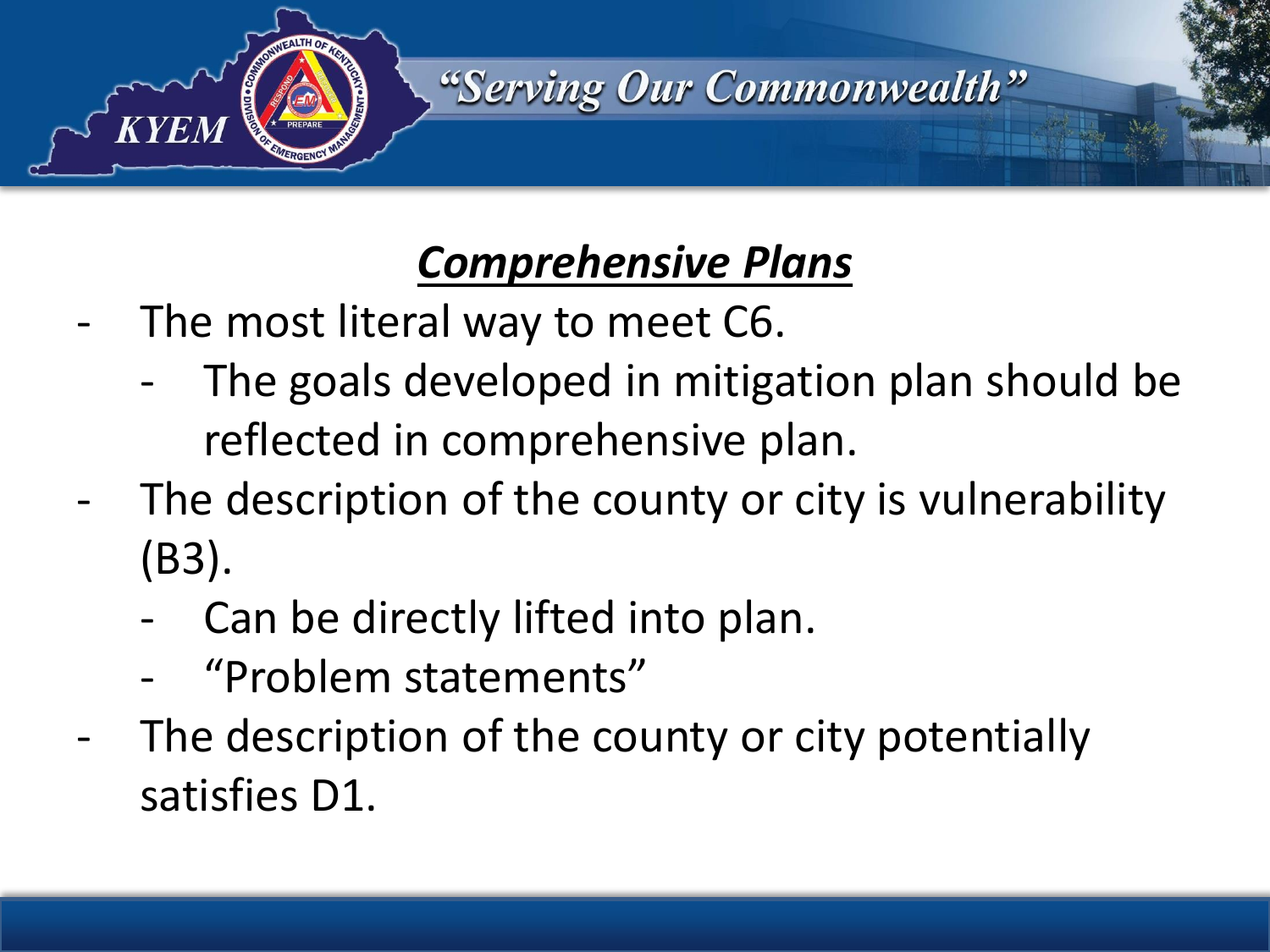

#### *Comprehensive Plans*

- The most literal way to meet C6.
	- The goals developed in mitigation plan should be reflected in comprehensive plan.
- The description of the county or city is vulnerability (B3).
	- Can be directly lifted into plan.
	- "Problem statements"
- The description of the county or city potentially satisfies D1.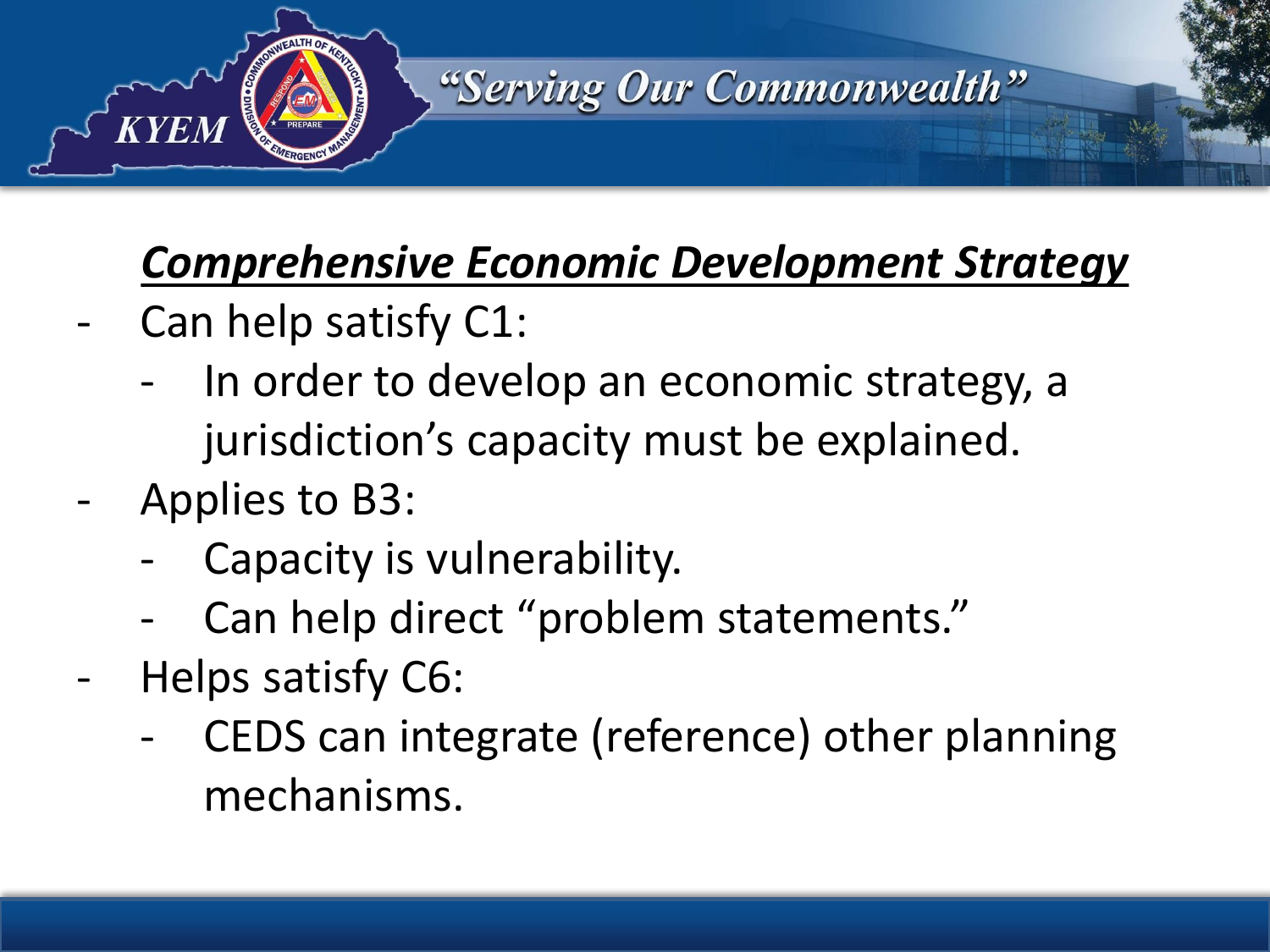

#### *Comprehensive Economic Development Strategy*

- Can help satisfy C1:
	- In order to develop an economic strategy, a jurisdiction's capacity must be explained.
- Applies to B3:
	- Capacity is vulnerability.
	- Can help direct "problem statements."
- Helps satisfy C6:
	- CEDS can integrate (reference) other planning mechanisms.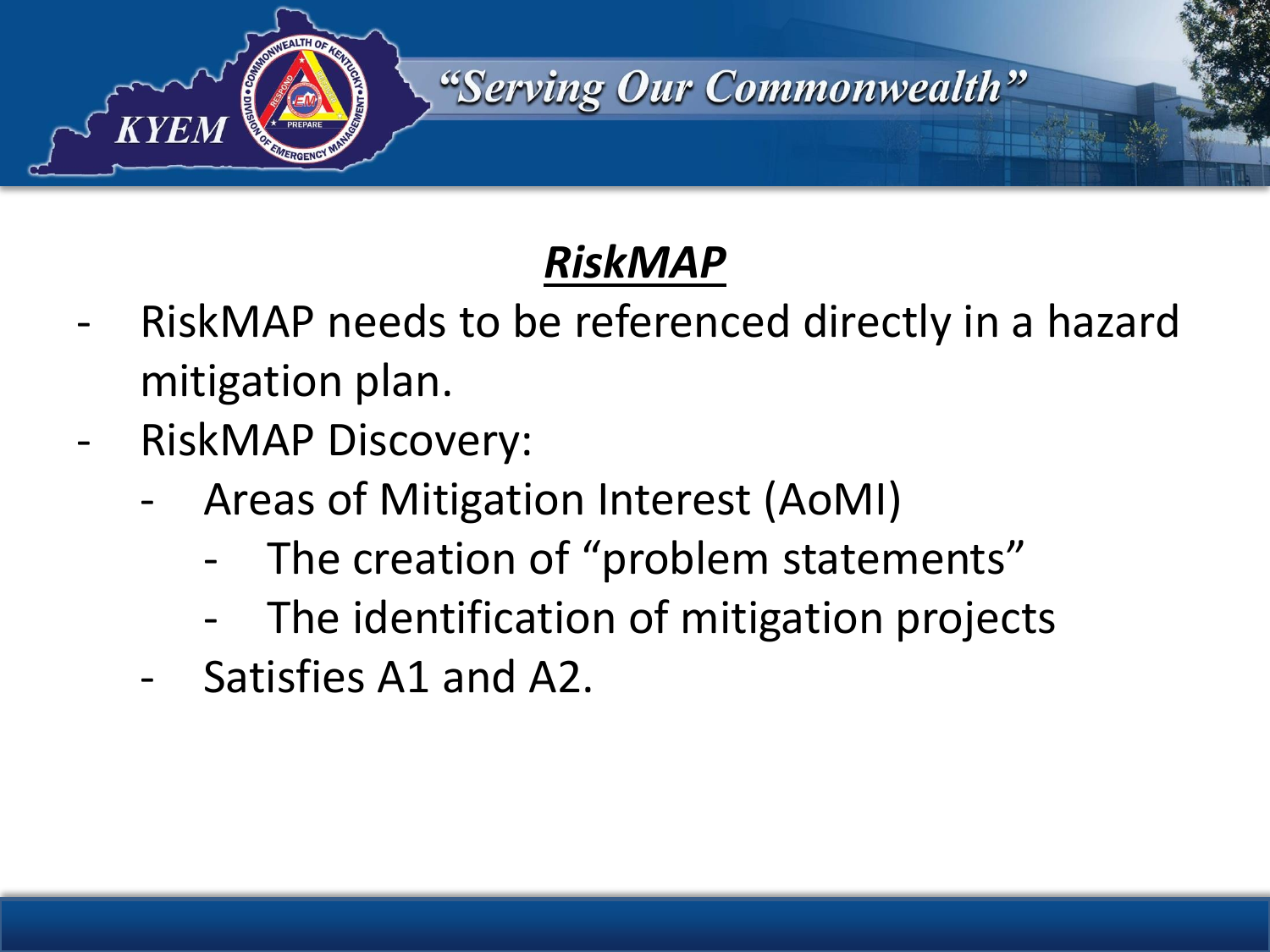

#### *RiskMAP*

- RiskMAP needs to be referenced directly in a hazard mitigation plan.
- RiskMAP Discovery:
	- Areas of Mitigation Interest (AoMI)
		- The creation of "problem statements"
		- The identification of mitigation projects
	- Satisfies A1 and A2.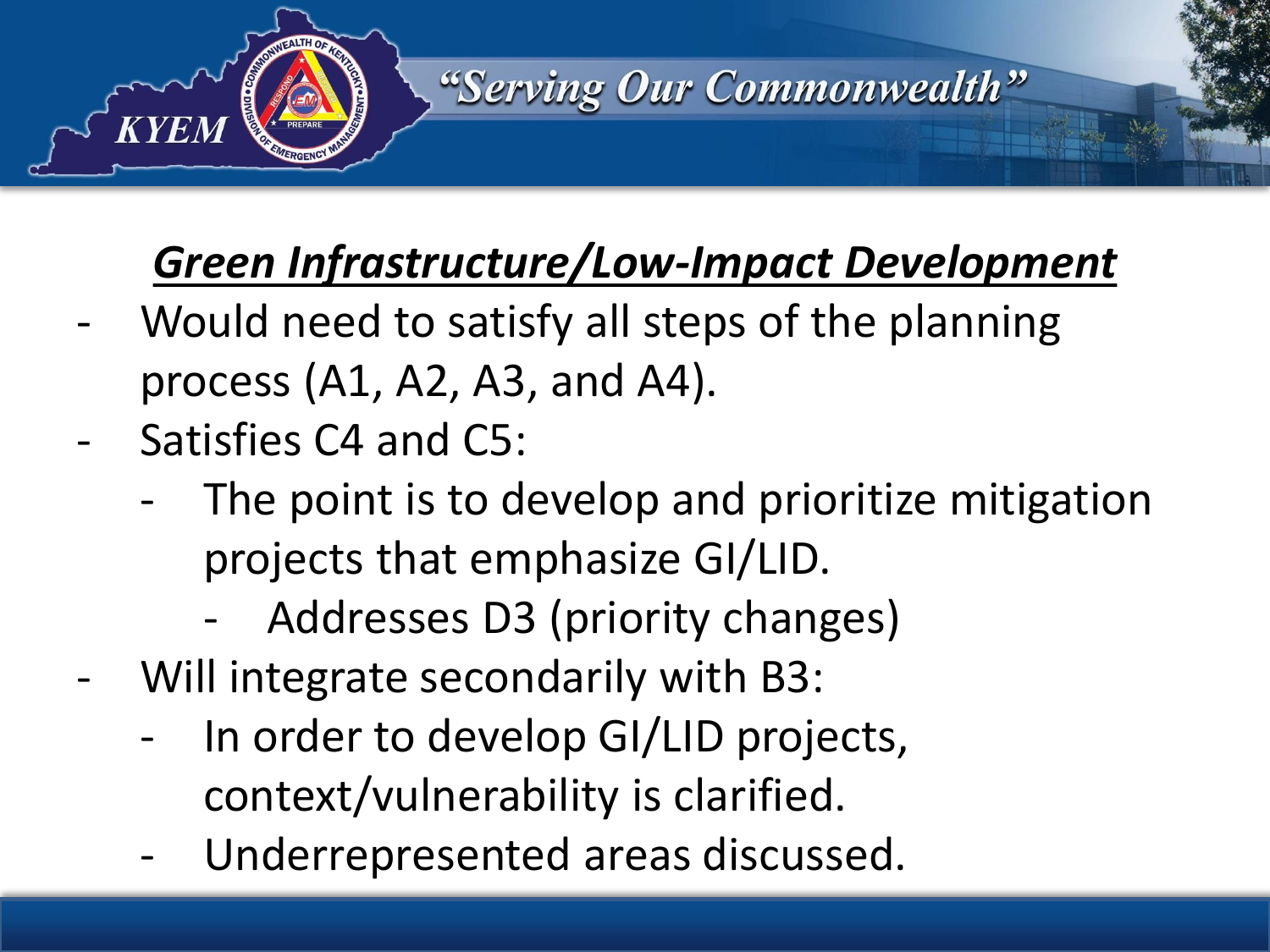

## *Green Infrastructure/Low-Impact Development*

- Would need to satisfy all steps of the planning process (A1, A2, A3, and A4).
- Satisfies C4 and C5:
	- The point is to develop and prioritize mitigation projects that emphasize GI/LID.
		- Addresses D3 (priority changes)
- Will integrate secondarily with B3:
	- In order to develop GI/LID projects, context/vulnerability is clarified.
	- Underrepresented areas discussed.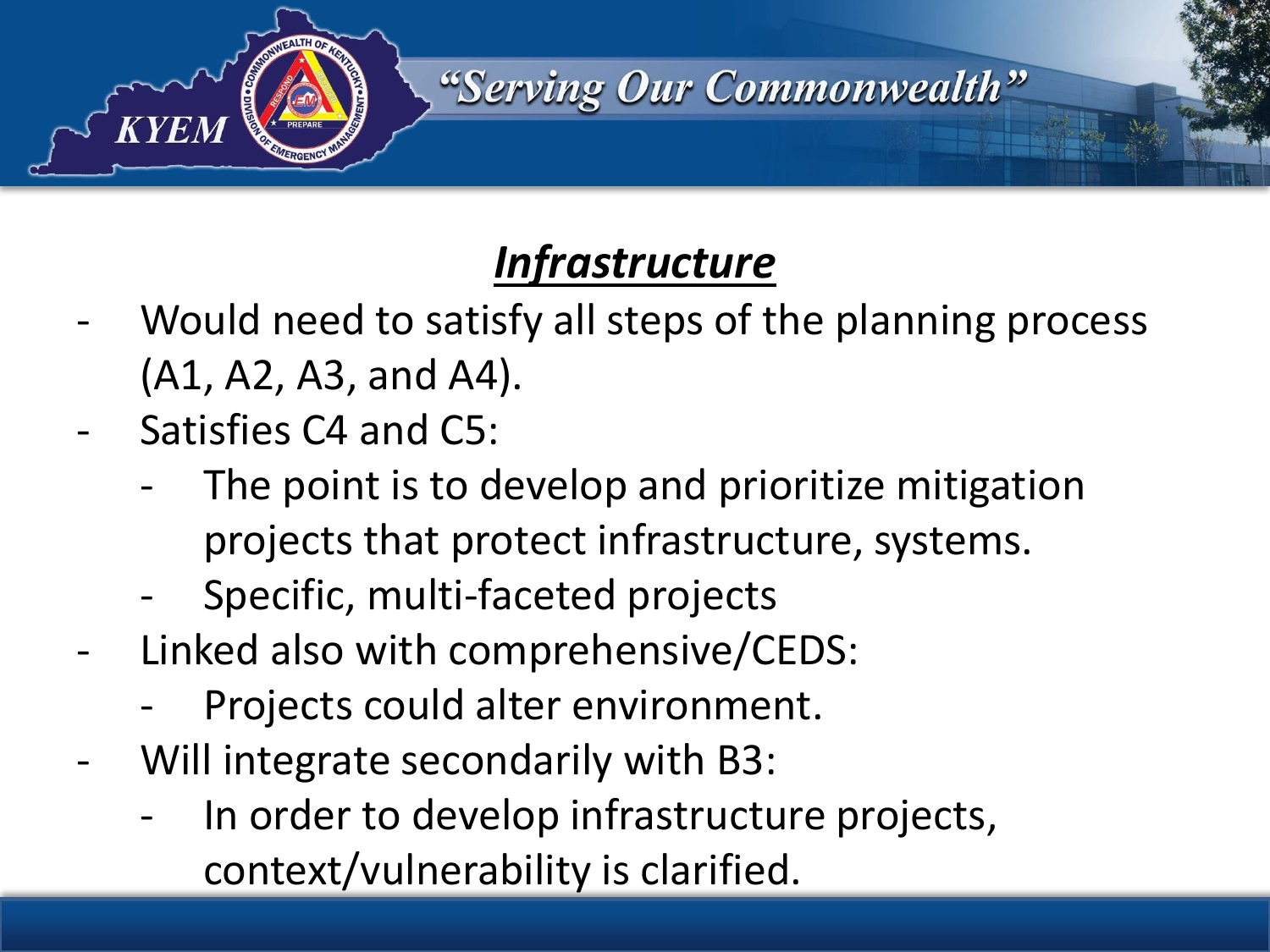

#### *Infrastructure*

- Would need to satisfy all steps of the planning process (A1, A2, A3, and A4).
- Satisfies C4 and C5:
	- The point is to develop and prioritize mitigation projects that protect infrastructure, systems.
	- Specific, multi-faceted projects
- Linked also with comprehensive/CEDS:
	- Projects could alter environment.
- Will integrate secondarily with B3:
	- In order to develop infrastructure projects, context/vulnerability is clarified.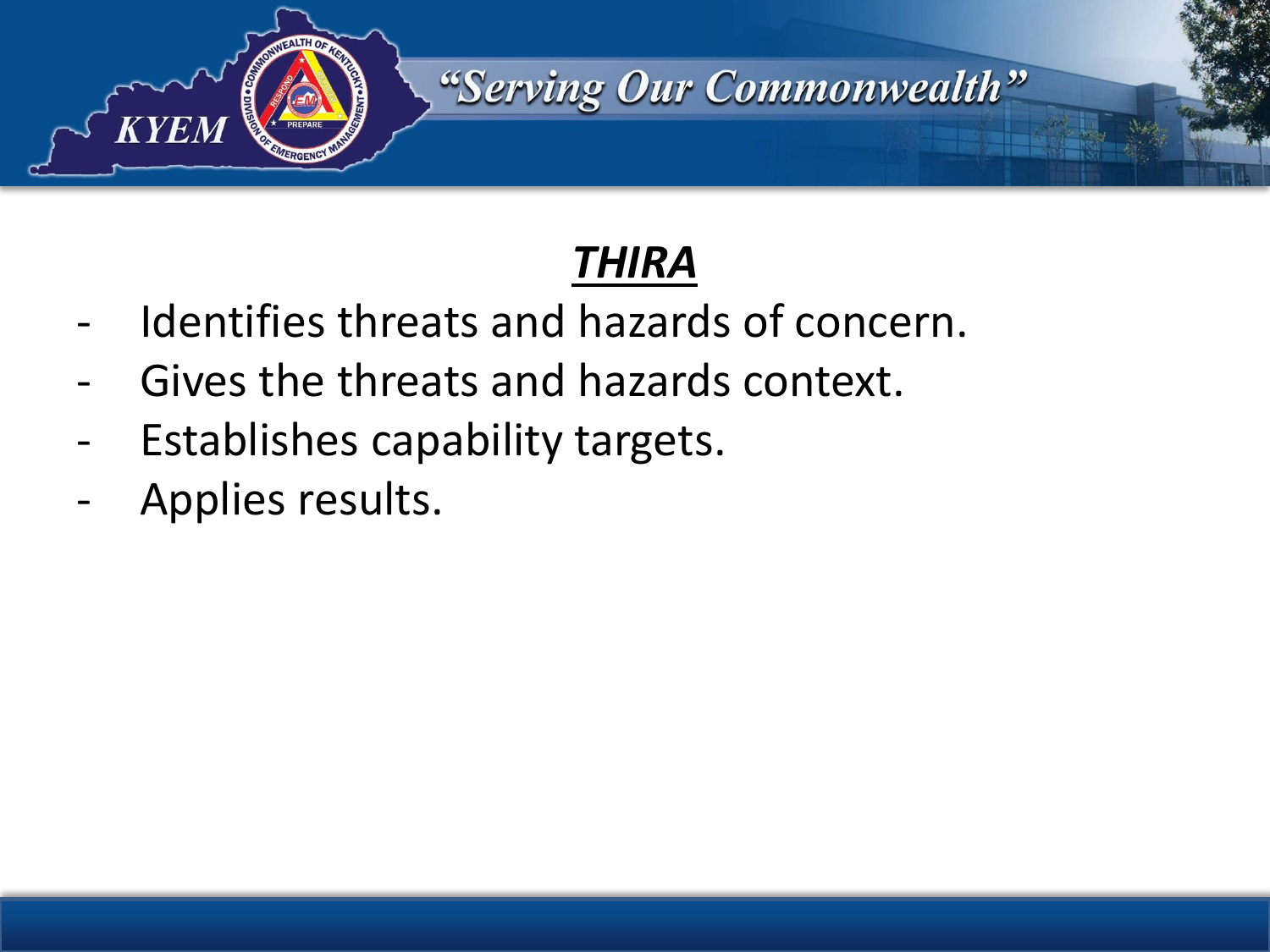

- Identifies threats and hazards of concern.
- Gives the threats and hazards context.
- Establishes capability targets.
- Applies results.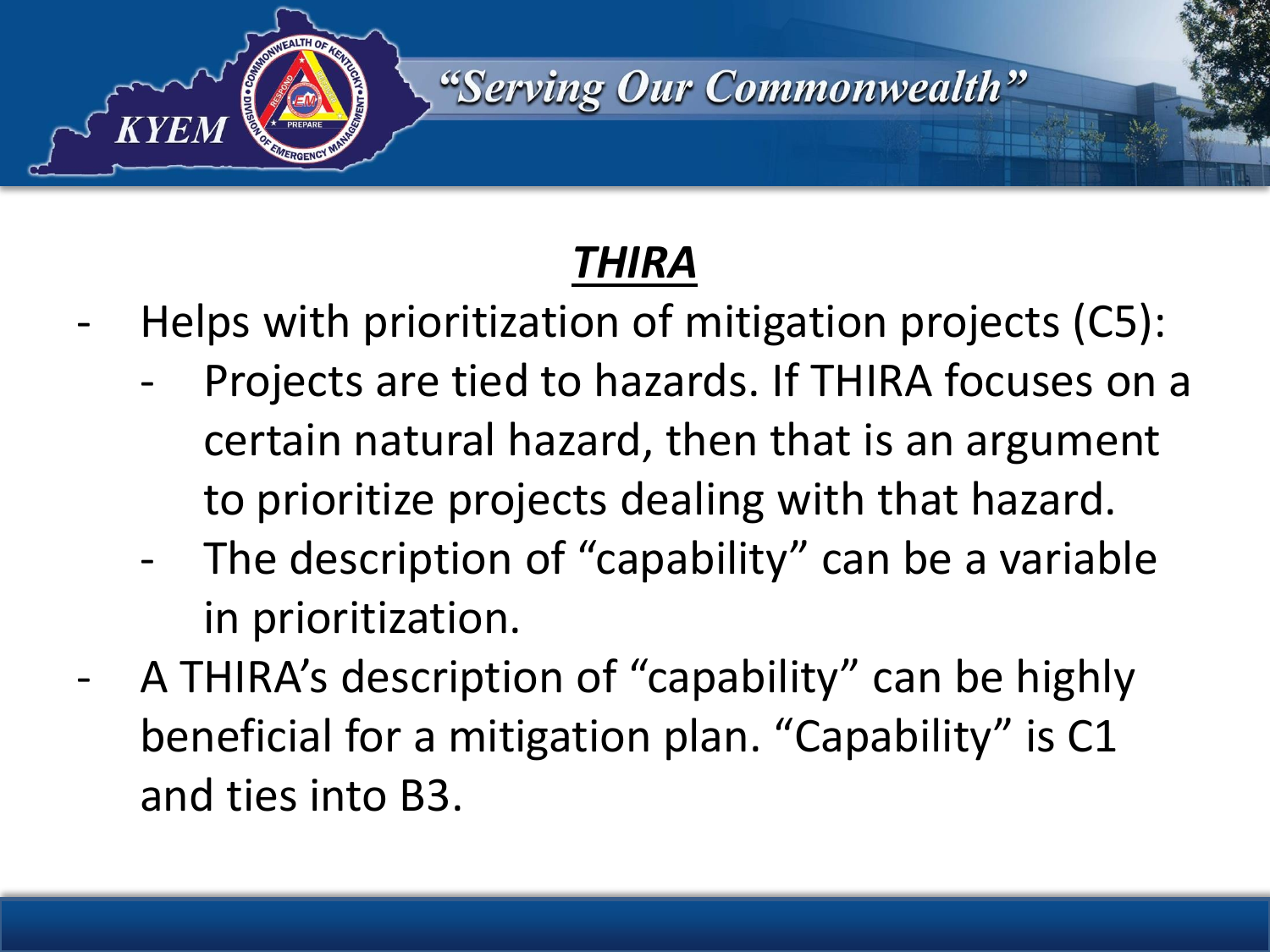

- Helps with prioritization of mitigation projects (C5):
	- Projects are tied to hazards. If THIRA focuses on a certain natural hazard, then that is an argument to prioritize projects dealing with that hazard.
	- The description of "capability" can be a variable in prioritization.
- A THIRA's description of "capability" can be highly beneficial for a mitigation plan. "Capability" is C1 and ties into B3.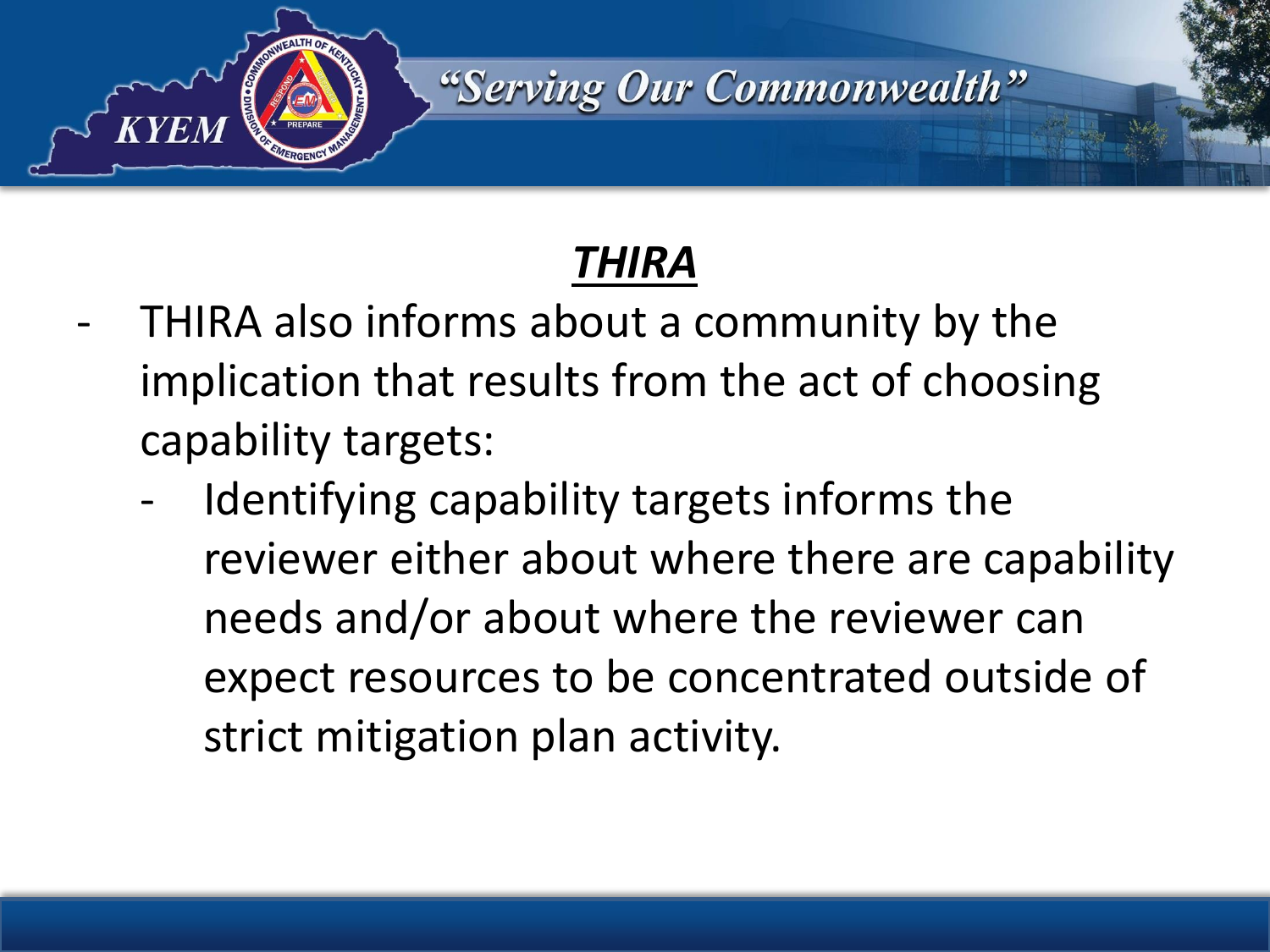

- THIRA also informs about a community by the implication that results from the act of choosing capability targets:
	- Identifying capability targets informs the reviewer either about where there are capability needs and/or about where the reviewer can expect resources to be concentrated outside of strict mitigation plan activity.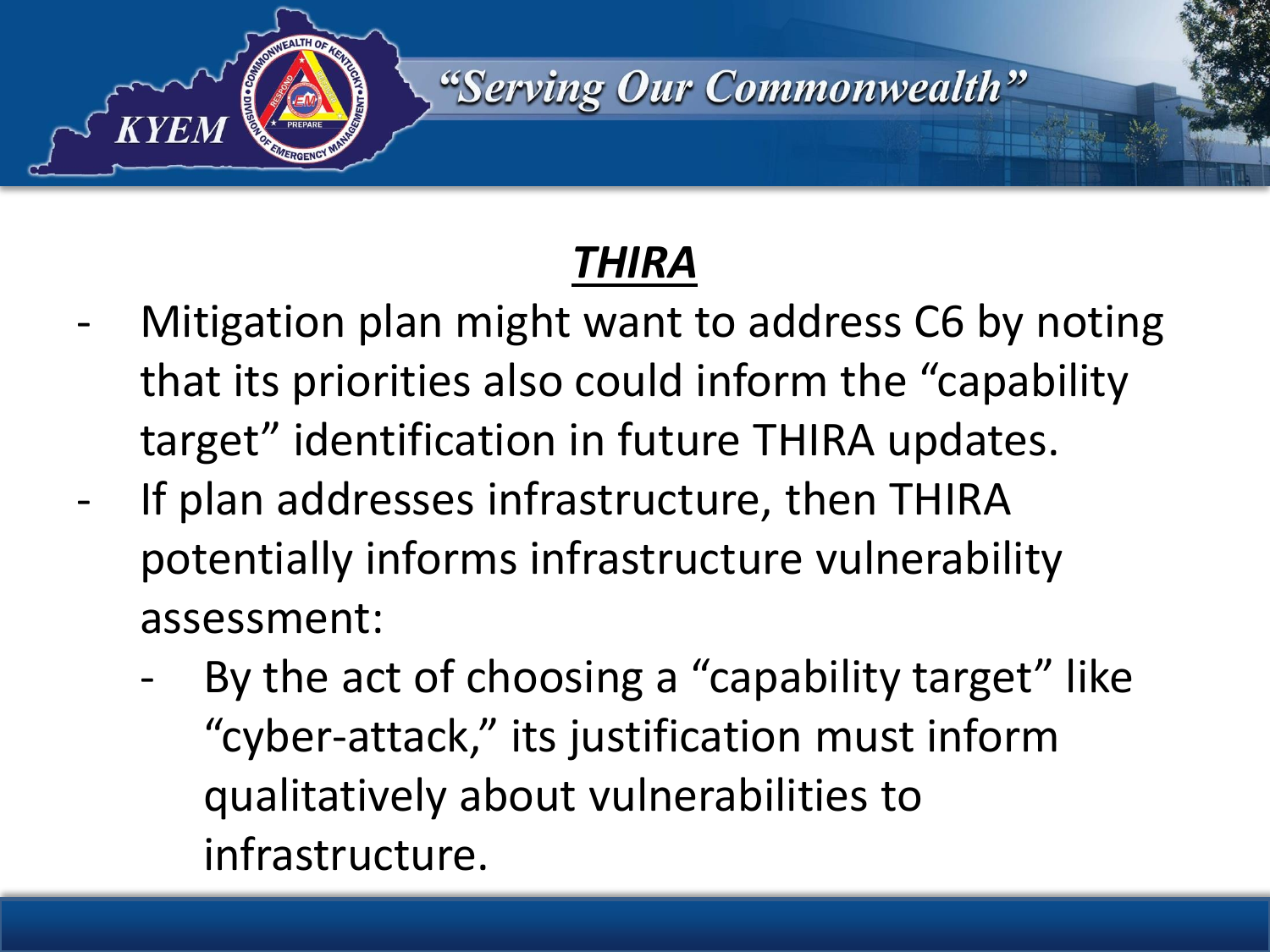

- Mitigation plan might want to address C6 by noting that its priorities also could inform the "capability target" identification in future THIRA updates.
- If plan addresses infrastructure, then THIRA potentially informs infrastructure vulnerability assessment:
	- By the act of choosing a "capability target" like "cyber-attack," its justification must inform qualitatively about vulnerabilities to infrastructure.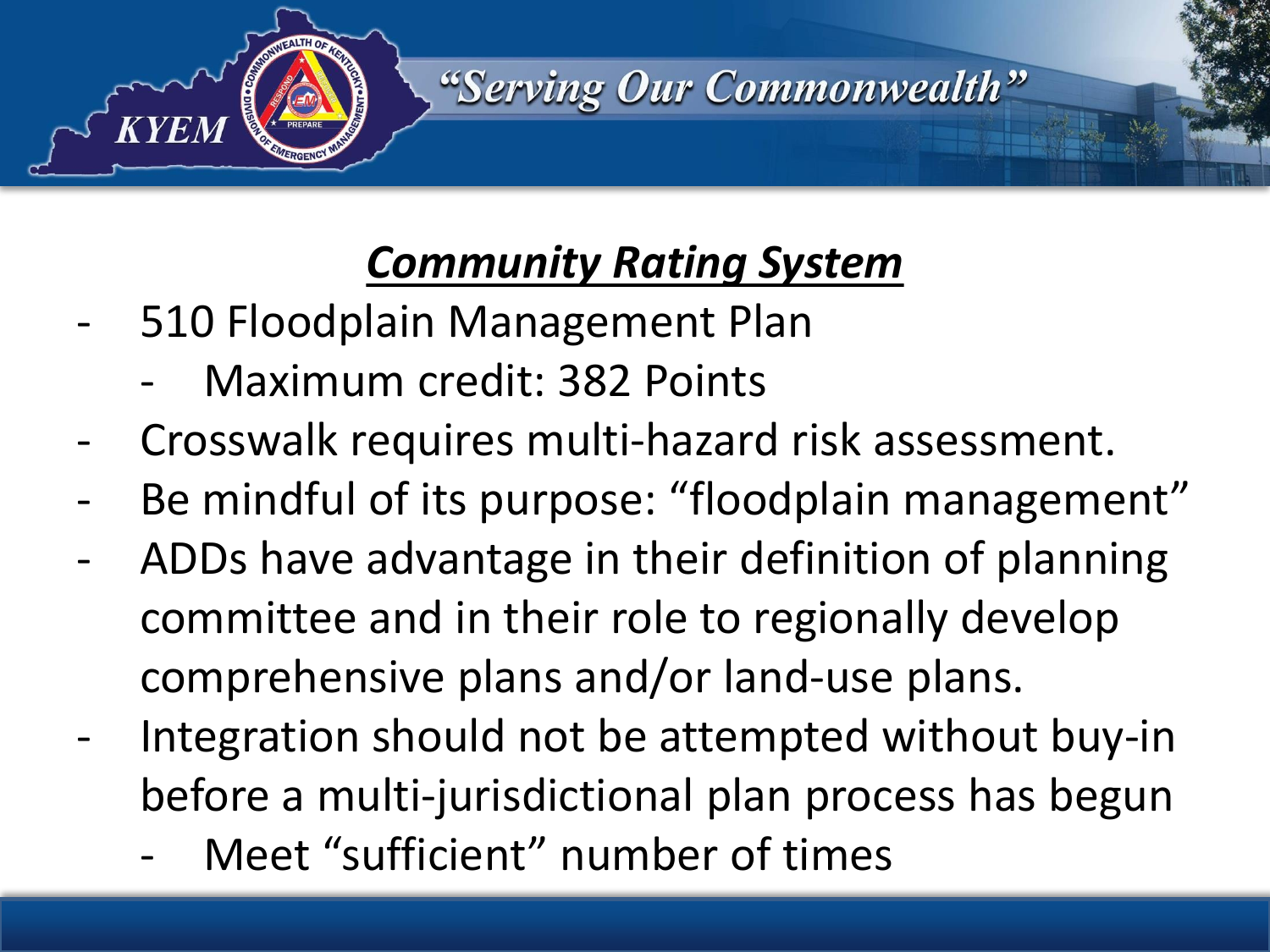

- 510 Floodplain Management Plan
	- Maximum credit: 382 Points
- Crosswalk requires multi-hazard risk assessment.
- Be mindful of its purpose: "floodplain management"
- ADDs have advantage in their definition of planning committee and in their role to regionally develop comprehensive plans and/or land-use plans.
- Integration should not be attempted without buy-in before a multi-jurisdictional plan process has begun
	- Meet "sufficient" number of times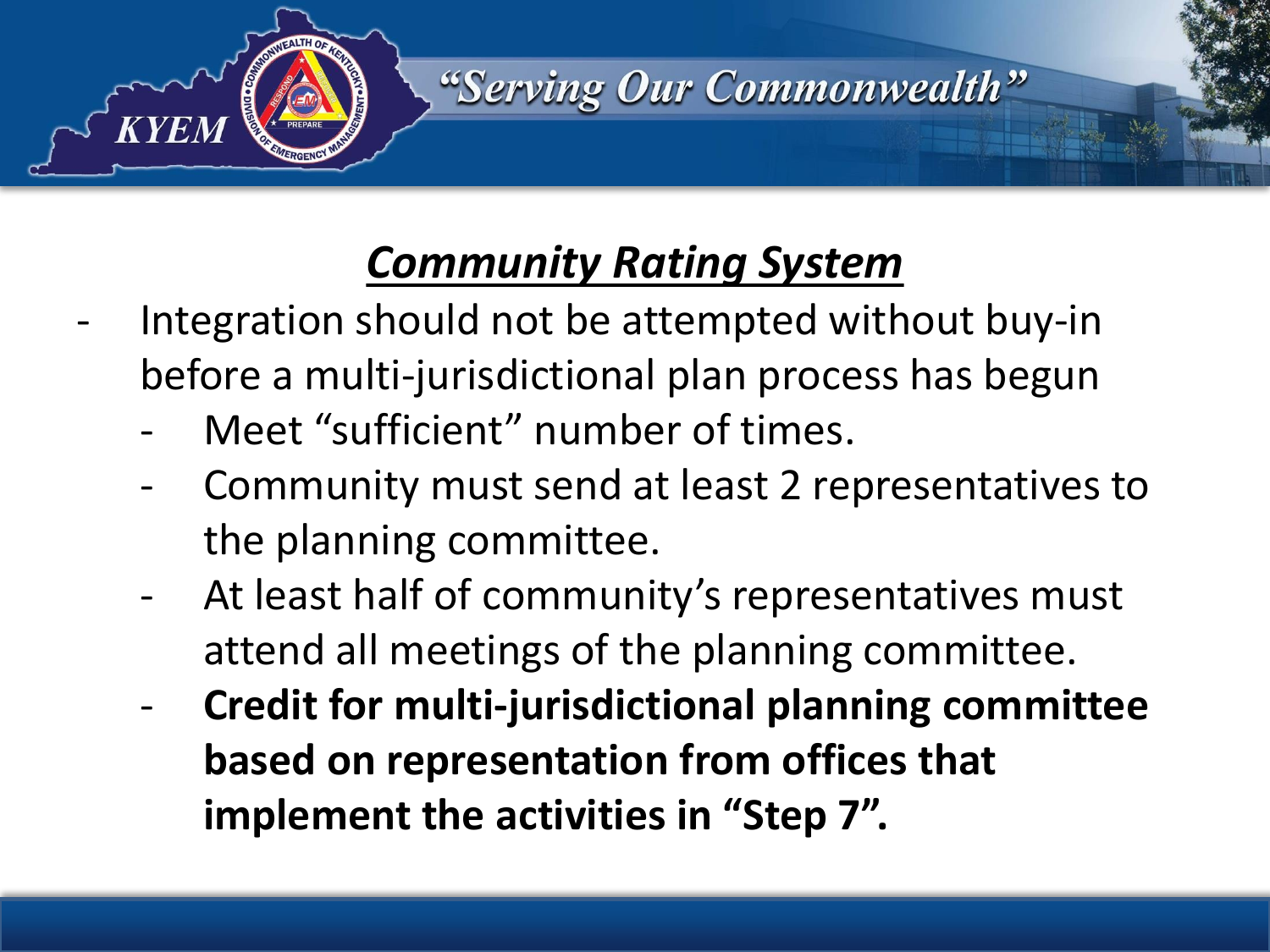

- Integration should not be attempted without buy-in before a multi-jurisdictional plan process has begun
	- Meet "sufficient" number of times.
	- Community must send at least 2 representatives to the planning committee.
	- At least half of community's representatives must attend all meetings of the planning committee.
	- **Credit for multi-jurisdictional planning committee based on representation from offices that implement the activities in "Step 7".**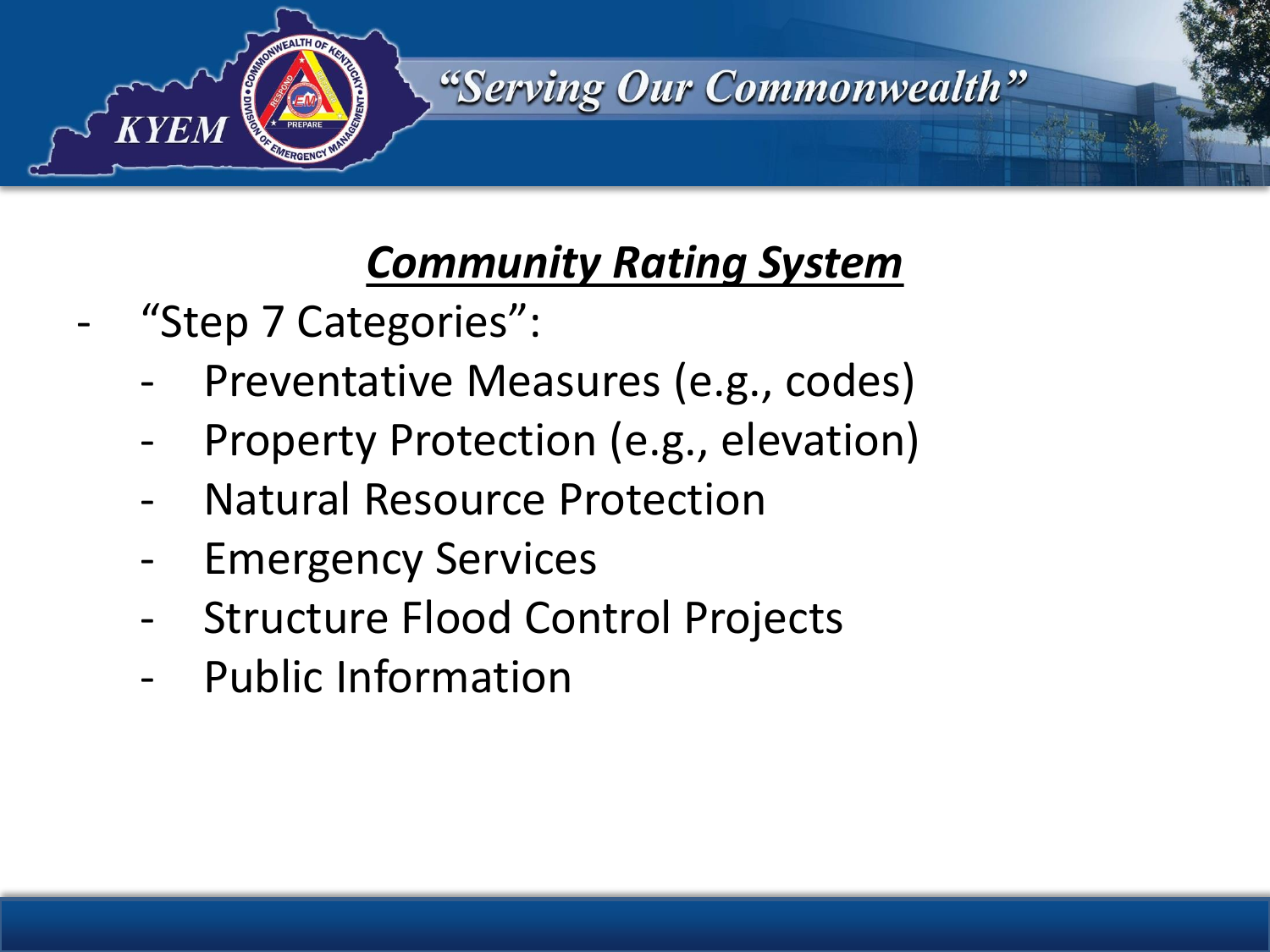

- "Step 7 Categories":
	- Preventative Measures (e.g., codes)
	- Property Protection (e.g., elevation)
	- **Natural Resource Protection**
	- **Emergency Services**
	- Structure Flood Control Projects
	- Public Information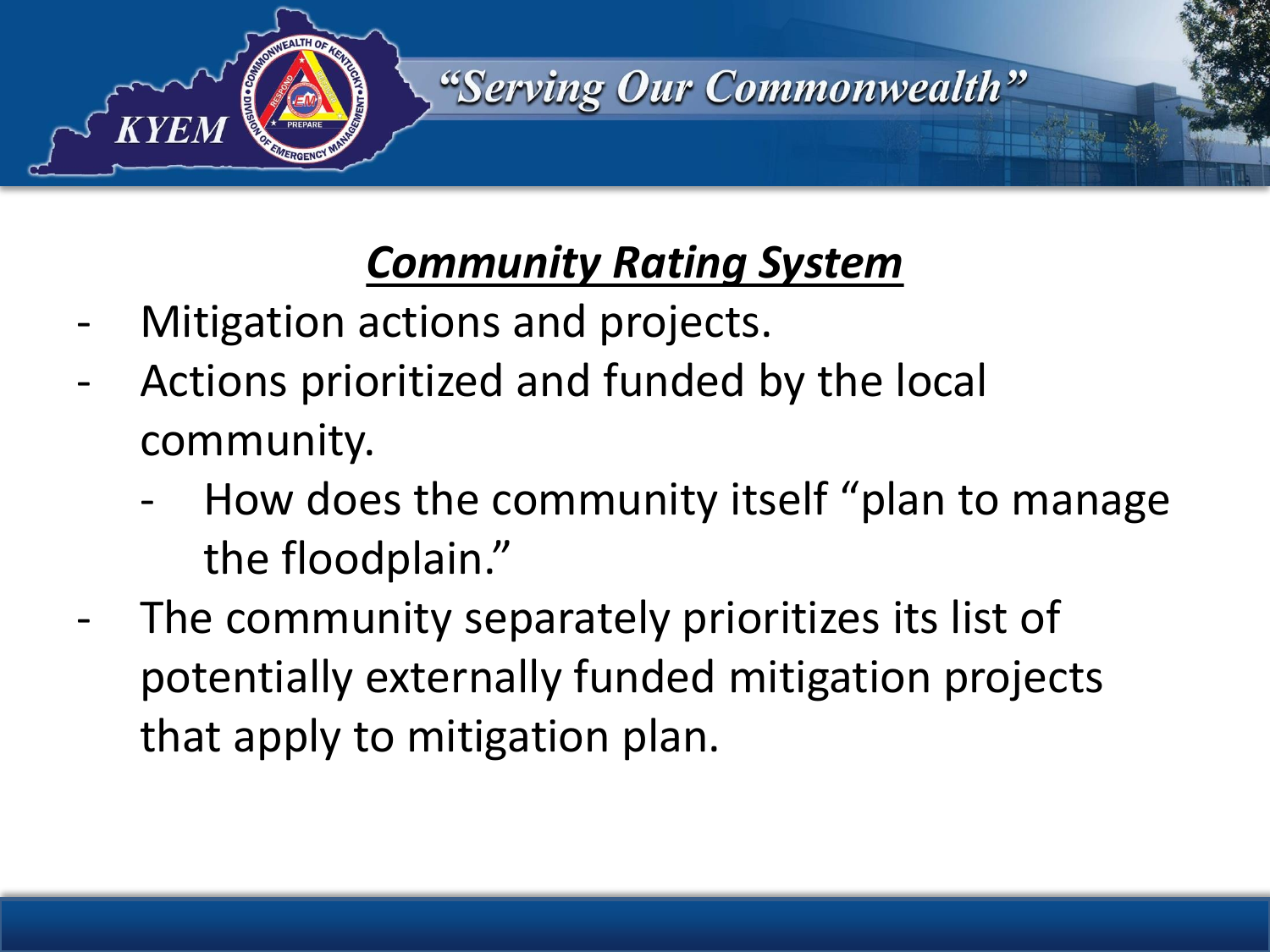

- Mitigation actions and projects.
- Actions prioritized and funded by the local community.
	- How does the community itself "plan to manage the floodplain."
- The community separately prioritizes its list of potentially externally funded mitigation projects that apply to mitigation plan.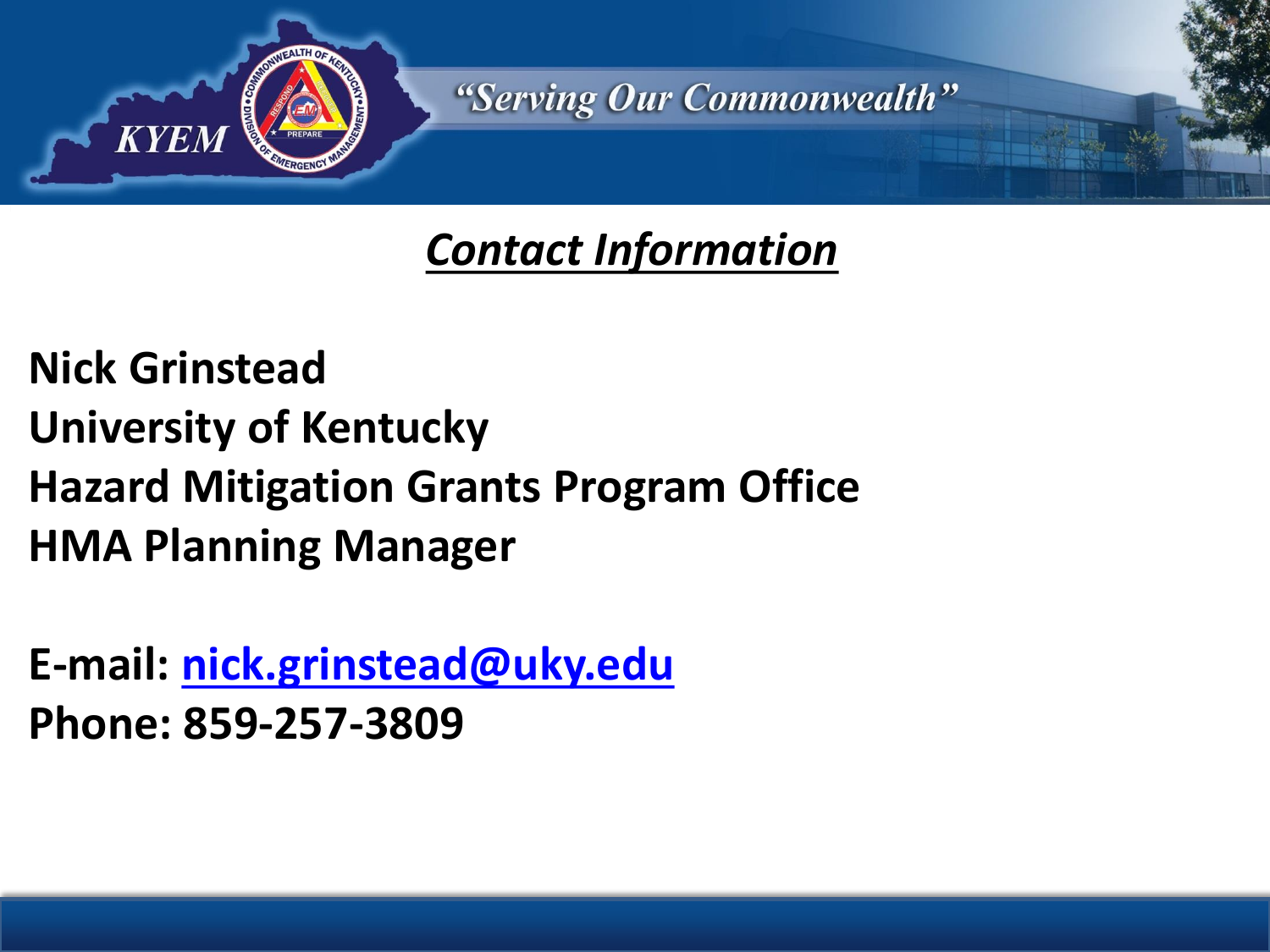

#### *Contact Information*

**Nick Grinstead University of Kentucky Hazard Mitigation Grants Program Office HMA Planning Manager**

**E-mail: [nick.grinstead@uky.edu](mailto:nick.grinstead@uky.edu) Phone: 859-257-3809**